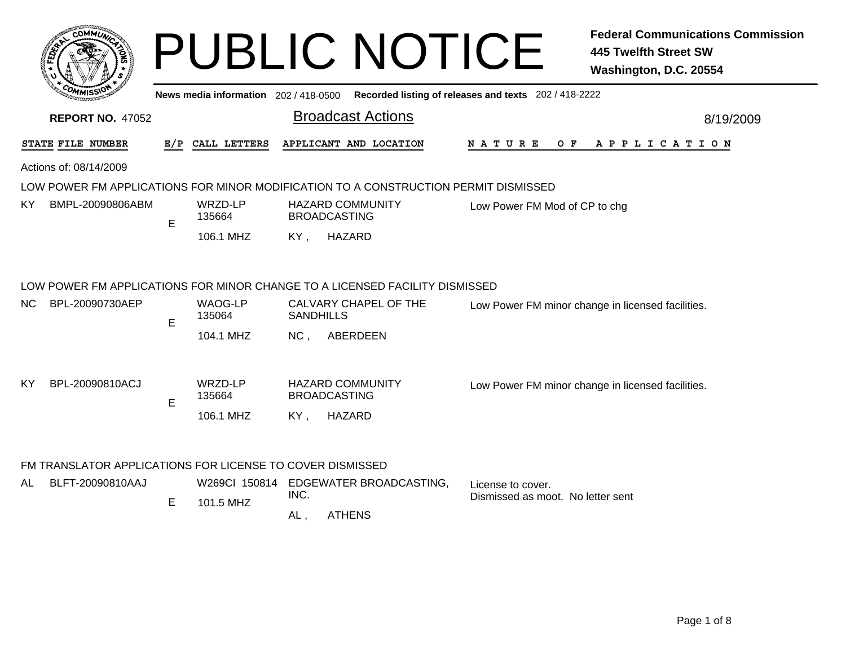|     |                                                                                                |     |                                       | <b>PUBLIC NOTICE</b>                                                     |                                                                                             | <b>Federal Communications Commission</b><br><b>445 Twelfth Street SW</b><br>Washington, D.C. 20554 |
|-----|------------------------------------------------------------------------------------------------|-----|---------------------------------------|--------------------------------------------------------------------------|---------------------------------------------------------------------------------------------|----------------------------------------------------------------------------------------------------|
|     |                                                                                                |     |                                       |                                                                          | News media information 202 / 418-0500 Recorded listing of releases and texts 202 / 418-2222 |                                                                                                    |
|     | <b>REPORT NO. 47052</b>                                                                        |     |                                       | <b>Broadcast Actions</b>                                                 |                                                                                             | 8/19/2009                                                                                          |
|     | STATE FILE NUMBER                                                                              | E/P | CALL LETTERS                          | APPLICANT AND LOCATION                                                   | N A T U R E<br>O F                                                                          | A P P L I C A T I O N                                                                              |
|     | Actions of: 08/14/2009                                                                         |     |                                       |                                                                          |                                                                                             |                                                                                                    |
|     | LOW POWER FM APPLICATIONS FOR MINOR MODIFICATION TO A CONSTRUCTION PERMIT DISMISSED            |     |                                       |                                                                          |                                                                                             |                                                                                                    |
| ΚY  | BMPL-20090806ABM                                                                               | E   | WRZD-LP<br>135664                     | <b>HAZARD COMMUNITY</b><br><b>BROADCASTING</b>                           | Low Power FM Mod of CP to chg                                                               |                                                                                                    |
|     |                                                                                                |     | 106.1 MHZ                             | <b>HAZARD</b><br>KY,                                                     |                                                                                             |                                                                                                    |
| NC. | LOW POWER FM APPLICATIONS FOR MINOR CHANGE TO A LICENSED FACILITY DISMISSED<br>BPL-20090730AEP | E   | <b>WAOG-LP</b><br>135064<br>104.1 MHZ | CALVARY CHAPEL OF THE<br><b>SANDHILLS</b><br>NC <sub>1</sub><br>ABERDEEN |                                                                                             | Low Power FM minor change in licensed facilities.                                                  |
| ΚY  | BPL-20090810ACJ                                                                                | E   | WRZD-LP<br>135664<br>106.1 MHZ        | <b>HAZARD COMMUNITY</b><br><b>BROADCASTING</b><br><b>HAZARD</b><br>KY.   |                                                                                             | Low Power FM minor change in licensed facilities.                                                  |
|     | FM TRANSLATOR APPLICATIONS FOR LICENSE TO COVER DISMISSED                                      |     |                                       |                                                                          |                                                                                             |                                                                                                    |
| AL  | BLFT-20090810AAJ                                                                               | E   | 101.5 MHZ                             | W269CI 150814 EDGEWATER BROADCASTING,<br>INC.<br><b>ATHENS</b><br>AL,    | License to cover.<br>Dismissed as moot. No letter sent                                      |                                                                                                    |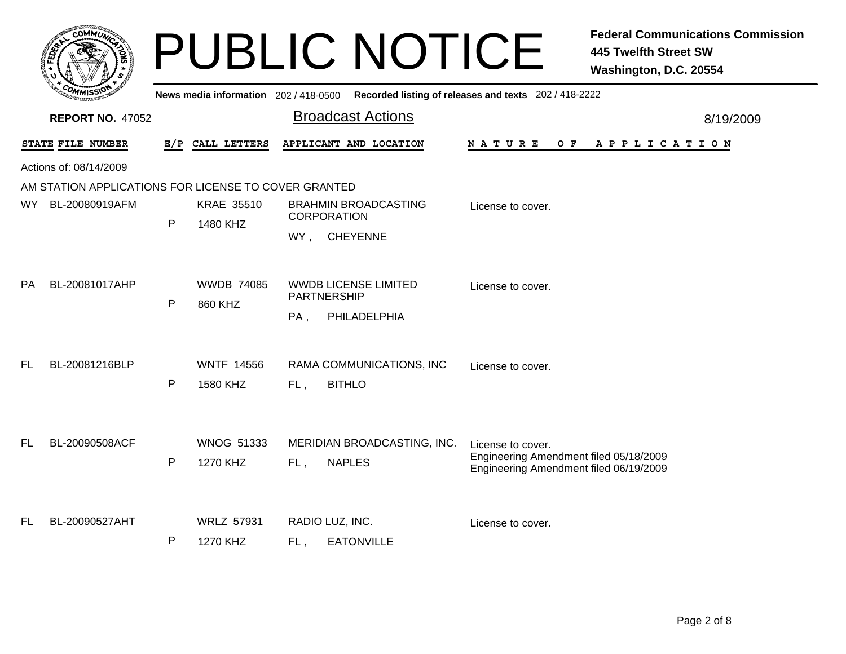|           | <b>COMMUT</b>                                        |              |                                       | <b>PUBLIC NOTICE</b>                              | <b>Federal Communications Commission</b><br><b>445 Twelfth Street SW</b><br>Washington, D.C. 20554 |
|-----------|------------------------------------------------------|--------------|---------------------------------------|---------------------------------------------------|----------------------------------------------------------------------------------------------------|
|           |                                                      |              | News media information 202 / 418-0500 |                                                   | Recorded listing of releases and texts 202 / 418-2222                                              |
|           | <b>REPORT NO. 47052</b>                              |              |                                       | <b>Broadcast Actions</b>                          | 8/19/2009                                                                                          |
|           | STATE FILE NUMBER                                    | E/P          | CALL LETTERS                          | APPLICANT AND LOCATION                            | <b>NATURE</b><br>O F<br>APPLICATION                                                                |
|           | Actions of: 08/14/2009                               |              |                                       |                                                   |                                                                                                    |
|           | AM STATION APPLICATIONS FOR LICENSE TO COVER GRANTED |              |                                       |                                                   |                                                                                                    |
| WY .      | BL-20080919AFM                                       | P            | <b>KRAE 35510</b><br>1480 KHZ         | <b>BRAHMIN BROADCASTING</b><br><b>CORPORATION</b> | License to cover.                                                                                  |
|           |                                                      |              |                                       | <b>CHEYENNE</b><br>WY,                            |                                                                                                    |
| <b>PA</b> | BL-20081017AHP                                       | P            | <b>WWDB 74085</b><br>860 KHZ          | WWDB LICENSE LIMITED<br>PARTNERSHIP               | License to cover.                                                                                  |
|           |                                                      |              |                                       | PA,<br>PHILADELPHIA                               |                                                                                                    |
| <b>FL</b> | BL-20081216BLP                                       |              | <b>WNTF 14556</b>                     | RAMA COMMUNICATIONS, INC                          | License to cover.                                                                                  |
|           |                                                      | $\mathsf{P}$ | 1580 KHZ                              | <b>BITHLO</b><br>FL,                              |                                                                                                    |
| FL        | BL-20090508ACF                                       |              | <b>WNOG 51333</b>                     | MERIDIAN BROADCASTING, INC.                       | License to cover.                                                                                  |
|           |                                                      | $\mathsf{P}$ | 1270 KHZ                              | <b>NAPLES</b><br>FL,                              | Engineering Amendment filed 05/18/2009<br>Engineering Amendment filed 06/19/2009                   |
| FL        | BL-20090527AHT                                       |              | <b>WRLZ 57931</b>                     | RADIO LUZ, INC.                                   | License to cover.                                                                                  |
|           |                                                      | $\mathsf{P}$ | 1270 KHZ                              | <b>EATONVILLE</b><br>FL.                          |                                                                                                    |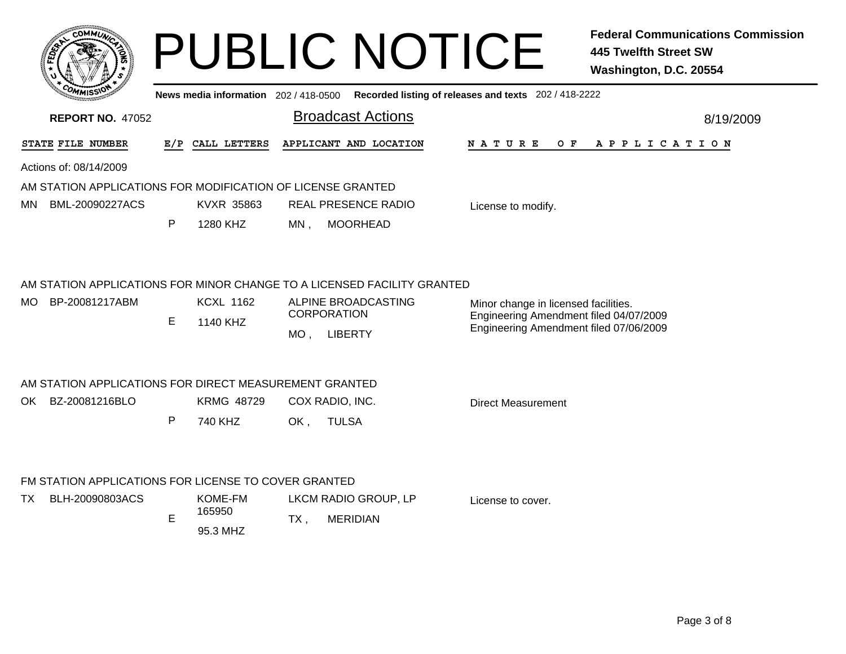| COMMUN                                                      |              |                                       | <b>PUBLIC NOTICE</b>                                                    | <b>Federal Communications Commission</b><br><b>445 Twelfth Street SW</b><br>Washington, D.C. 20554 |  |  |
|-------------------------------------------------------------|--------------|---------------------------------------|-------------------------------------------------------------------------|----------------------------------------------------------------------------------------------------|--|--|
|                                                             |              | News media information 202 / 418-0500 |                                                                         | Recorded listing of releases and texts 202 / 418-2222                                              |  |  |
| <b>REPORT NO. 47052</b>                                     |              |                                       | <b>Broadcast Actions</b>                                                | 8/19/2009                                                                                          |  |  |
| STATE FILE NUMBER                                           | E/P          | CALL LETTERS                          | APPLICANT AND LOCATION                                                  | N A T U R E<br>O F<br>A P P L I C A T I O N                                                        |  |  |
| Actions of: 08/14/2009                                      |              |                                       |                                                                         |                                                                                                    |  |  |
| AM STATION APPLICATIONS FOR MODIFICATION OF LICENSE GRANTED |              |                                       |                                                                         |                                                                                                    |  |  |
| BML-20090227ACS<br>MN.                                      |              | KVXR 35863                            | REAL PRESENCE RADIO                                                     | License to modify.                                                                                 |  |  |
|                                                             | P            | 1280 KHZ                              | <b>MOORHEAD</b><br>MN.                                                  |                                                                                                    |  |  |
|                                                             |              |                                       | AM STATION APPLICATIONS FOR MINOR CHANGE TO A LICENSED FACILITY GRANTED |                                                                                                    |  |  |
| MO BP-20081217ABM                                           |              | <b>KCXL 1162</b>                      | ALPINE BROADCASTING                                                     | Minor change in licensed facilities.                                                               |  |  |
|                                                             | E            | 1140 KHZ                              | <b>CORPORATION</b>                                                      | Engineering Amendment filed 04/07/2009<br>Engineering Amendment filed 07/06/2009                   |  |  |
|                                                             |              |                                       | MO, LIBERTY                                                             |                                                                                                    |  |  |
| AM STATION APPLICATIONS FOR DIRECT MEASUREMENT GRANTED      |              |                                       |                                                                         |                                                                                                    |  |  |
| OK BZ-20081216BLO                                           |              | <b>KRMG 48729</b>                     | COX RADIO, INC.                                                         | Direct Measurement                                                                                 |  |  |
|                                                             | $\mathsf{P}$ | 740 KHZ                               | OK,<br><b>TULSA</b>                                                     |                                                                                                    |  |  |
| FM STATION APPLICATIONS FOR LICENSE TO COVER GRANTED        |              |                                       |                                                                         |                                                                                                    |  |  |
| TX<br>BLH-20090803ACS                                       |              | KOME-FM<br>165950                     | LKCM RADIO GROUP, LP                                                    | License to cover.                                                                                  |  |  |
|                                                             | E            | 95.3 MHZ                              | $TX$ ,<br><b>MERIDIAN</b>                                               |                                                                                                    |  |  |
|                                                             |              |                                       |                                                                         |                                                                                                    |  |  |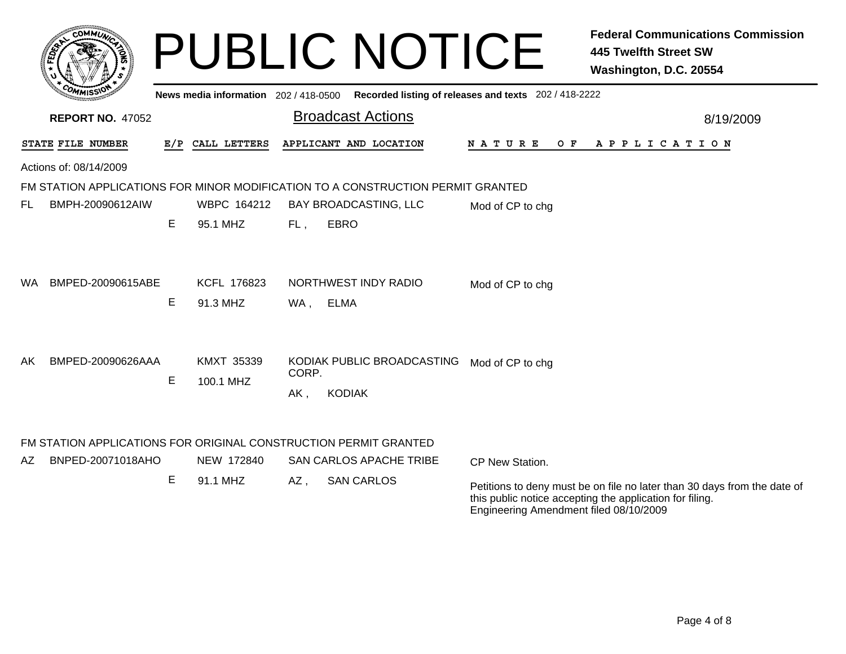|     | <b>COMMUX</b>                                                                         |   |                                       |       | <b>PUBLIC NOTICE</b>                                                            |                                                       | <b>Federal Communications Commission</b><br><b>445 Twelfth Street SW</b><br>Washington, D.C. 20554                                   |
|-----|---------------------------------------------------------------------------------------|---|---------------------------------------|-------|---------------------------------------------------------------------------------|-------------------------------------------------------|--------------------------------------------------------------------------------------------------------------------------------------|
|     |                                                                                       |   | News media information 202 / 418-0500 |       |                                                                                 | Recorded listing of releases and texts 202 / 418-2222 |                                                                                                                                      |
|     | <b>REPORT NO. 47052</b>                                                               |   |                                       |       | <b>Broadcast Actions</b>                                                        |                                                       | 8/19/2009                                                                                                                            |
|     | STATE FILE NUMBER                                                                     |   | E/P CALL LETTERS                      |       | APPLICANT AND LOCATION                                                          | O F<br>N A T U R E                                    | A P P L I C A T I O N                                                                                                                |
|     | Actions of: 08/14/2009                                                                |   |                                       |       |                                                                                 |                                                       |                                                                                                                                      |
|     |                                                                                       |   |                                       |       | FM STATION APPLICATIONS FOR MINOR MODIFICATION TO A CONSTRUCTION PERMIT GRANTED |                                                       |                                                                                                                                      |
| FL  | BMPH-20090612AIW                                                                      |   | WBPC 164212                           |       | BAY BROADCASTING, LLC                                                           | Mod of CP to chg                                      |                                                                                                                                      |
|     |                                                                                       | Е | 95.1 MHZ                              | FL,   | <b>EBRO</b>                                                                     |                                                       |                                                                                                                                      |
| WA. | BMPED-20090615ABE                                                                     | E | KCFL 176823<br>91.3 MHZ               | WA ,  | NORTHWEST INDY RADIO<br><b>ELMA</b>                                             | Mod of CP to chg                                      |                                                                                                                                      |
| AK. | BMPED-20090626AAA                                                                     |   | <b>KMXT 35339</b>                     |       | KODIAK PUBLIC BROADCASTING Mod of CP to chg                                     |                                                       |                                                                                                                                      |
|     |                                                                                       | E | 100.1 MHZ                             | CORP. |                                                                                 |                                                       |                                                                                                                                      |
|     |                                                                                       |   |                                       | AK,   | <b>KODIAK</b>                                                                   |                                                       |                                                                                                                                      |
| AZ. | FM STATION APPLICATIONS FOR ORIGINAL CONSTRUCTION PERMIT GRANTED<br>BNPED-20071018AHO |   | NEW 172840                            |       | <b>SAN CARLOS APACHE TRIBE</b>                                                  | CP New Station.                                       |                                                                                                                                      |
|     |                                                                                       | Е | 91.1 MHZ                              | AZ,   | <b>SAN CARLOS</b>                                                               | Engineering Amendment filed 08/10/2009                | Petitions to deny must be on file no later than 30 days from the date of<br>this public notice accepting the application for filing. |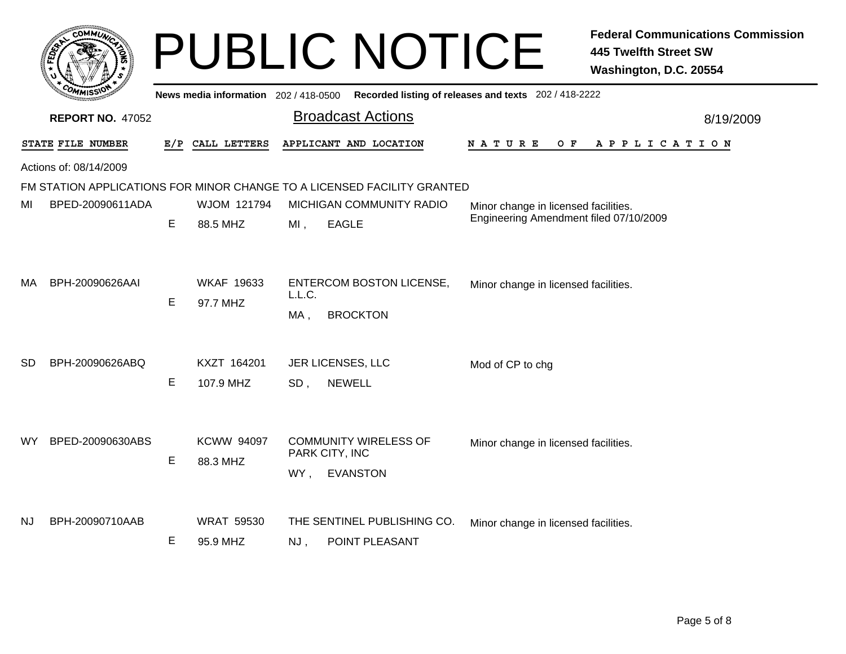|     | <b>COMMUT</b>                                                                                  |     |                               |               | <b>PUBLIC NOTICE</b>                                                    |                                        | <b>Federal Communications Commission</b><br><b>445 Twelfth Street SW</b><br>Washington, D.C. 20554 |
|-----|------------------------------------------------------------------------------------------------|-----|-------------------------------|---------------|-------------------------------------------------------------------------|----------------------------------------|----------------------------------------------------------------------------------------------------|
|     | News media information 202 / 418-0500<br>Recorded listing of releases and texts 202 / 418-2222 |     |                               |               |                                                                         |                                        |                                                                                                    |
|     | <b>REPORT NO. 47052</b>                                                                        |     |                               |               | <b>Broadcast Actions</b>                                                |                                        | 8/19/2009                                                                                          |
|     | STATE FILE NUMBER                                                                              | E/P | CALL LETTERS                  |               | APPLICANT AND LOCATION                                                  | N A T U R E<br>O F                     | A P P L I C A T I O N                                                                              |
|     | Actions of: 08/14/2009                                                                         |     |                               |               |                                                                         |                                        |                                                                                                    |
|     |                                                                                                |     |                               |               | FM STATION APPLICATIONS FOR MINOR CHANGE TO A LICENSED FACILITY GRANTED |                                        |                                                                                                    |
| MI  | BPED-20090611ADA                                                                               |     | WJOM 121794                   |               | MICHIGAN COMMUNITY RADIO                                                | Minor change in licensed facilities.   |                                                                                                    |
|     |                                                                                                | E   | 88.5 MHZ                      | $MI$ ,        | <b>EAGLE</b>                                                            | Engineering Amendment filed 07/10/2009 |                                                                                                    |
| MA  | BPH-20090626AAI                                                                                | Е   | <b>WKAF 19633</b><br>97.7 MHZ | L.L.C.<br>MA, | <b>ENTERCOM BOSTON LICENSE,</b><br><b>BROCKTON</b>                      | Minor change in licensed facilities.   |                                                                                                    |
| SD  | BPH-20090626ABQ                                                                                |     | KXZT 164201                   |               | JER LICENSES, LLC                                                       | Mod of CP to chg                       |                                                                                                    |
|     |                                                                                                | E   | 107.9 MHZ                     | SD,           | <b>NEWELL</b>                                                           |                                        |                                                                                                    |
| WY. | BPED-20090630ABS                                                                               | Е   | <b>KCWW 94097</b><br>88.3 MHZ | WY,           | <b>COMMUNITY WIRELESS OF</b><br>PARK CITY, INC<br><b>EVANSTON</b>       | Minor change in licensed facilities.   |                                                                                                    |
| NJ  | BPH-20090710AAB                                                                                | E   | <b>WRAT 59530</b><br>95.9 MHZ | NJ,           | THE SENTINEL PUBLISHING CO.<br>POINT PLEASANT                           | Minor change in licensed facilities.   |                                                                                                    |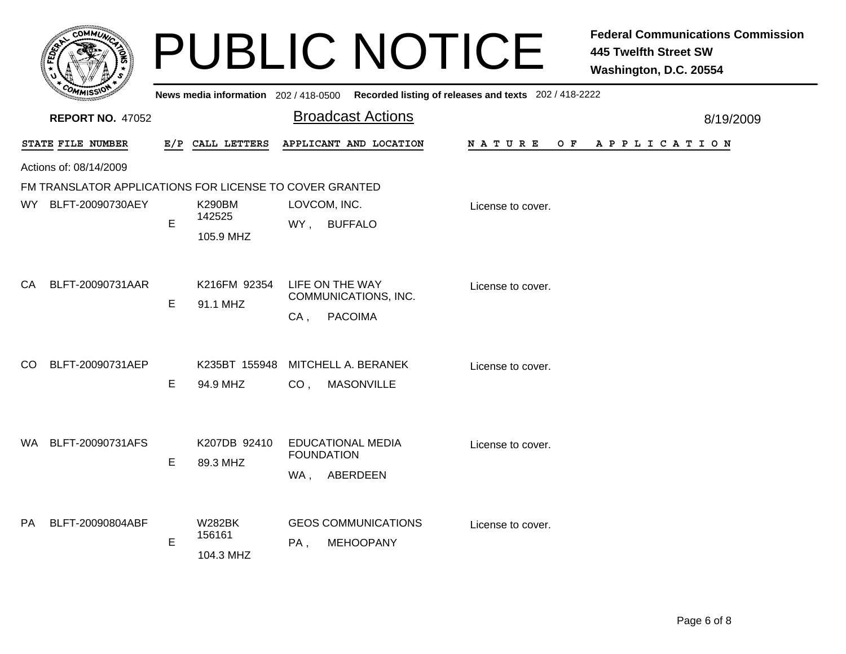|     |                                                         |             |                                      | <b>PUBLIC NOTICE</b>                                                |                                                       | <b>Federal Communications Commission</b><br><b>445 Twelfth Street SW</b><br>Washington, D.C. 20554 |
|-----|---------------------------------------------------------|-------------|--------------------------------------|---------------------------------------------------------------------|-------------------------------------------------------|----------------------------------------------------------------------------------------------------|
|     |                                                         |             | News media information 202/418-0500  |                                                                     | Recorded listing of releases and texts 202 / 418-2222 |                                                                                                    |
|     | <b>REPORT NO. 47052</b>                                 |             |                                      | <b>Broadcast Actions</b>                                            |                                                       | 8/19/2009                                                                                          |
|     | STATE FILE NUMBER                                       |             | E/P CALL LETTERS                     | APPLICANT AND LOCATION                                              | O F<br>N A T U R E                                    | A P P L I C A T I O N                                                                              |
|     | Actions of: 08/14/2009                                  |             |                                      |                                                                     |                                                       |                                                                                                    |
|     | FM TRANSLATOR APPLICATIONS FOR LICENSE TO COVER GRANTED |             |                                      |                                                                     |                                                       |                                                                                                    |
| WY. | BLFT-20090730AEY                                        | $\mathsf E$ | <b>K290BM</b><br>142525<br>105.9 MHZ | LOVCOM, INC.<br>WY,<br><b>BUFFALO</b>                               | License to cover.                                     |                                                                                                    |
| CA  | BLFT-20090731AAR                                        | Е           | K216FM 92354<br>91.1 MHZ             | LIFE ON THE WAY<br>COMMUNICATIONS, INC.<br><b>PACOIMA</b><br>$CA$ , | License to cover.                                     |                                                                                                    |
| CO  | BLFT-20090731AEP                                        | Е           | K235BT 155948<br>94.9 MHZ            | MITCHELL A. BERANEK<br>CO <sub>1</sub><br><b>MASONVILLE</b>         | License to cover.                                     |                                                                                                    |
| WA. | BLFT-20090731AFS                                        | Е           | K207DB 92410<br>89.3 MHZ             | <b>EDUCATIONAL MEDIA</b><br><b>FOUNDATION</b><br>ABERDEEN<br>WA,    | License to cover.                                     |                                                                                                    |
| PA  | BLFT-20090804ABF                                        | E           | <b>W282BK</b><br>156161<br>104.3 MHZ | <b>GEOS COMMUNICATIONS</b><br>PA,<br><b>MEHOOPANY</b>               | License to cover.                                     |                                                                                                    |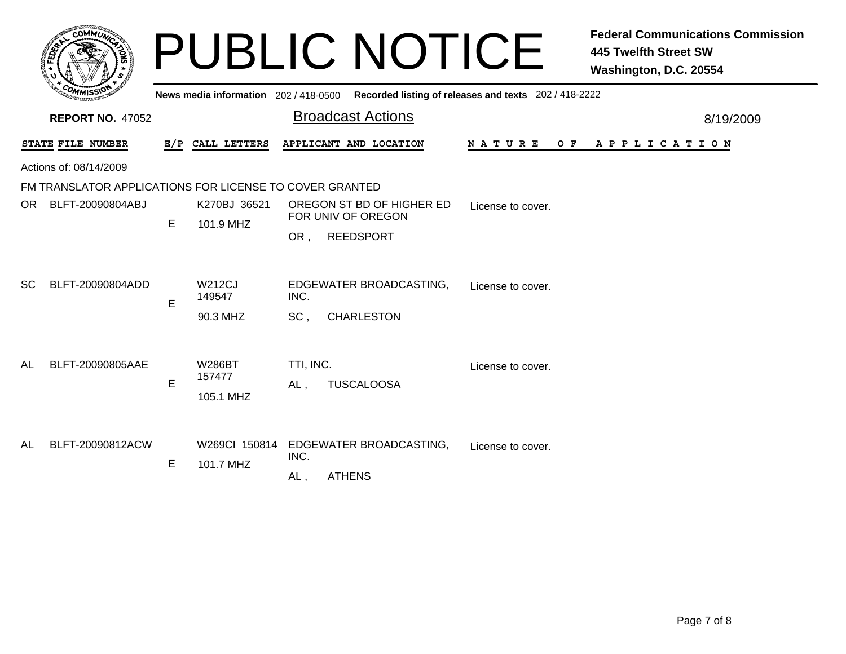|           | <b>COMMUN</b>                                           |     |                                      | <b>PUBLIC NOTICE</b>                                                       | <b>Federal Communications Commission</b><br><b>445 Twelfth Street SW</b><br>Washington, D.C. 20554 |
|-----------|---------------------------------------------------------|-----|--------------------------------------|----------------------------------------------------------------------------|----------------------------------------------------------------------------------------------------|
|           |                                                         |     | News media information 202/418-0500  | Recorded listing of releases and texts 202 / 418-2222                      |                                                                                                    |
|           | <b>REPORT NO. 47052</b>                                 |     |                                      | <b>Broadcast Actions</b>                                                   | 8/19/2009                                                                                          |
|           | STATE FILE NUMBER                                       | E/P | CALL LETTERS                         | APPLICANT AND LOCATION                                                     | <b>NATURE</b><br>OF APPLICATION                                                                    |
|           | Actions of: 08/14/2009                                  |     |                                      |                                                                            |                                                                                                    |
|           | FM TRANSLATOR APPLICATIONS FOR LICENSE TO COVER GRANTED |     |                                      |                                                                            |                                                                                                    |
| OR        | BLFT-20090804ABJ                                        | E.  | K270BJ 36521<br>101.9 MHZ            | OREGON ST BD OF HIGHER ED<br>FOR UNIV OF OREGON<br><b>REEDSPORT</b><br>OR. | License to cover.                                                                                  |
| SC        | BLFT-20090804ADD                                        | E   | <b>W212CJ</b><br>149547              | EDGEWATER BROADCASTING,<br>INC.                                            | License to cover.                                                                                  |
|           |                                                         |     | 90.3 MHZ                             | SC.<br><b>CHARLESTON</b>                                                   |                                                                                                    |
| AL        | BLFT-20090805AAE                                        | E   | <b>W286BT</b><br>157477<br>105.1 MHZ | TTI, INC.<br><b>TUSCALOOSA</b><br>AL,                                      | License to cover.                                                                                  |
| <b>AL</b> | BLFT-20090812ACW                                        | Е   | W269Cl 150814<br>101.7 MHZ           | EDGEWATER BROADCASTING,<br>INC.<br><b>ATHENS</b><br>AL,                    | License to cover.                                                                                  |